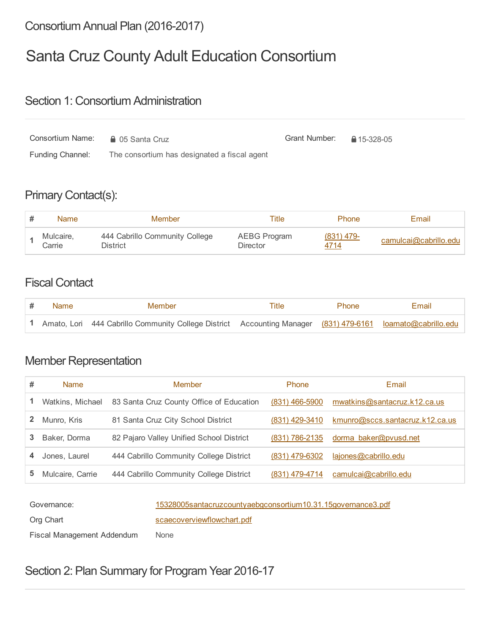# Consortium Annual Plan (2016-2017)

# Santa Cruz County Adult Education Consortium

#### Section 1: Consortium Administration

| Consortium Name:<br><b>■ 05 Santa Cruz</b> |                                              | Grant Number: | ↑ 15-328-05 |
|--------------------------------------------|----------------------------------------------|---------------|-------------|
| <b>Funding Channel:</b>                    | The consortium has designated a fiscal agent |               |             |

# Primary Contact(s):

| <b>Name</b>            | Member                                     | Title                           | <b>Phone</b>       | Email                 |
|------------------------|--------------------------------------------|---------------------------------|--------------------|-----------------------|
| Mulcaire,<br>$C$ arrie | 444 Cabrillo Community College<br>District | AEBG Program<br><b>Director</b> | (831) 479-<br>4714 | camulcai@cabrillo.edu |

### Fiscal Contact

| Name | Member                                                                                                       | Title | <b>Phone</b> | Email |
|------|--------------------------------------------------------------------------------------------------------------|-------|--------------|-------|
|      | 1 Amato, Lori 444 Cabrillo Community College District Accounting Manager (831) 479-6161 loamato@cabrillo.edu |       |              |       |

# Member Representation

| # | <b>Name</b>      | <b>Member</b>                            | <b>Phone</b>     | Email                           |
|---|------------------|------------------------------------------|------------------|---------------------------------|
|   | Watkins, Michael | 83 Santa Cruz County Office of Education | $(831)$ 466-5900 | mwatkins@santacruz.k12.ca.us    |
| 2 | Munro, Kris      | 81 Santa Cruz City School District       | $(831)$ 429-3410 | kmunro@sccs.santacruz.k12.ca.us |
| 3 | Baker, Dorma     | 82 Pajaro Valley Unified School District | (831) 786-2135   | dorma baker@pvusd.net           |
| 4 | Jones, Laurel    | 444 Cabrillo Community College District  | (831) 479-6302   | lajones@cabrillo.edu            |
| 5 | Mulcaire, Carrie | 444 Cabrillo Community College District  | (831) 479-4714   | camulcai@cabrillo.edu           |

Governance: 15328005santacruzcountyaebgconsortium10.31.15governance3.pdf

Org Chart Scaecoverviewflowchart.pdf

Fiscal Management Addendum None

Section 2: Plan Summary for Program Year 2016-17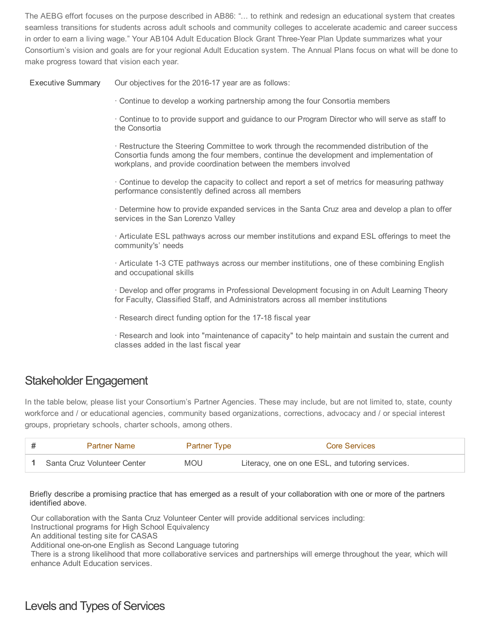The AEBG effort focuses on the purpose described in AB86: "... to rethink and redesign an educational system that creates seamless transitions for students across adult schools and community colleges to accelerate academic and career success in order to earn a living wage." Your AB104 Adult Education Block Grant Three-Year Plan Update summarizes what your Consortium's vision and goals are for your regional Adult Education system. The Annual Plans focus on what will be done to make progress toward that vision each year.

Executive Summary Our objectives for the 2016-17 year are as follows:

· Continue to develop a working partnership among the four Consortia members

· Continue to to provide support and guidance to our Program Director who will serve as staff to the Consortia

· Restructure the Steering Committee to work through the recommended distribution of the Consortia funds among the four members, continue the development and implementation of workplans, and provide coordination between the members involved

· Continue to develop the capacity to collect and report a set of metrics for measuring pathway performance consistently defined across all members

· Determine how to provide expanded services in the Santa Cruz area and develop a plan to offer services in the San Lorenzo Valley

· Articulate ESL pathways across our member institutions and expand ESL offerings to meet the community's' needs

· Articulate 13 CTE pathways across our member institutions, one of these combining English and occupational skills

· Develop and offer programs in Professional Development focusing in on Adult Learning Theory for Faculty, Classified Staff, and Administrators across all member institutions

· Research direct funding option for the 17-18 fiscal year

· Research and look into "maintenance of capacity" to help maintain and sustain the current and classes added in the last fiscal year

#### Stakeholder Engagement

In the table below, please list your Consortium's Partner Agencies. These may include, but are not limited to, state, county workforce and / or educational agencies, community based organizations, corrections, advocacy and / or special interest groups, proprietary schools, charter schools, among others.

| <b>Partner Name</b>         | Partner Type | Core Services                                    |
|-----------------------------|--------------|--------------------------------------------------|
| Santa Cruz Volunteer Center | <b>MOU</b>   | Literacy, one on one ESL, and tutoring services. |

Briefly describe a promising practice that has emerged as a result of your collaboration with one or more of the partners identified above.

Our collaboration with the Santa Cruz Volunteer Center will provide additional services including:

Instructional programs for High School Equivalency

An additional testing site for CASAS

Additional one-on-one English as Second Language tutoring

There is a strong likelihood that more collaborative services and partnerships will emerge throughout the year, which will enhance Adult Education services.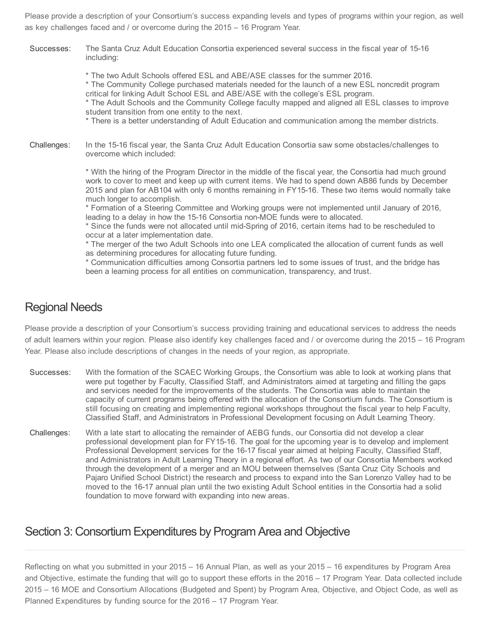Please provide a description of your Consortium's success expanding levels and types of programs within your region, as well as key challenges faced and / or overcome during the 2015 – 16 Program Year.

Successes: The Santa Cruz Adult Education Consortia experienced several success in the fiscal year of 15-16 including:

\* The two Adult Schools offered ESL and ABE/ASE classes for the summer 2016.

\* The Community College purchased materials needed for the launch of a new ESL noncredit program critical for linking Adult School ESL and ABE/ASE with the college's ESL program.

\* The Adult Schools and the Community College faculty mapped and aligned all ESL classes to improve student transition from one entity to the next.

\* There is a better understanding of Adult Education and communication among the member districts.

Challenges: In the 15-16 fiscal year, the Santa Cruz Adult Education Consortia saw some obstacles/challenges to overcome which included:

> \* With the hiring of the Program Director in the middle of the fiscal year, the Consortia had much ground work to cover to meet and keep up with current items. We had to spend down AB86 funds by December 2015 and plan for AB104 with only 6 months remaining in FY15-16. These two items would normally take much longer to accomplish.

\* Formation of a Steering Committee and Working groups were not implemented until January of 2016, leading to a delay in how the 15-16 Consortia non-MOE funds were to allocated.

\* Since the funds were not allocated until midSpring of 2016, certain items had to be rescheduled to occur at a later implementation date.

\* The merger of the two Adult Schools into one LEA complicated the allocation of current funds as well as determining procedures for allocating future funding.

\* Communication difficulties among Consortia partners led to some issues of trust, and the bridge has been a learning process for all entities on communication, transparency, and trust.

#### Regional Needs

Please provide a description of your Consortium's success providing training and educational services to address the needs of adult learners within your region. Please also identify key challenges faced and / or overcome during the 2015 – 16 Program Year. Please also include descriptions of changes in the needs of your region, as appropriate.

- Successes: With the formation of the SCAEC Working Groups, the Consortium was able to look at working plans that were put together by Faculty, Classified Staff, and Administrators aimed at targeting and filling the gaps and services needed for the improvements of the students. The Consortia was able to maintain the capacity of current programs being offered with the allocation of the Consortium funds. The Consortium is still focusing on creating and implementing regional workshops throughout the fiscal year to help Faculty, Classified Staff, and Administrators in Professional Development focusing on Adult Learning Theory.
- Challenges: With a late start to allocating the remainder of AEBG funds, our Consortia did not develop a clear professional development plan for FY1516. The goal for the upcoming year is to develop and implement Professional Development services for the 1617 fiscal year aimed at helping Faculty, Classified Staff, and Administrators in Adult Learning Theory in a regional effort. As two of our Consortia Members worked through the development of a merger and an MOU between themselves (Santa Cruz City Schools and Pajaro Unified School District) the research and process to expand into the San Lorenzo Valley had to be moved to the 1617 annual plan until the two existing Adult School entities in the Consortia had a solid foundation to move forward with expanding into new areas.

#### Section 3: Consortium Expenditures by Program Area and Objective

Reflecting on what you submitted in your 2015 – 16 Annual Plan, as well as your 2015 – 16 expenditures by Program Area and Objective, estimate the funding that will go to support these efforts in the 2016 – 17 Program Year. Data collected include 2015 – 16 MOE and Consortium Allocations (Budgeted and Spent) by Program Area, Objective, and Object Code, as well as Planned Expenditures by funding source for the 2016 – 17 Program Year.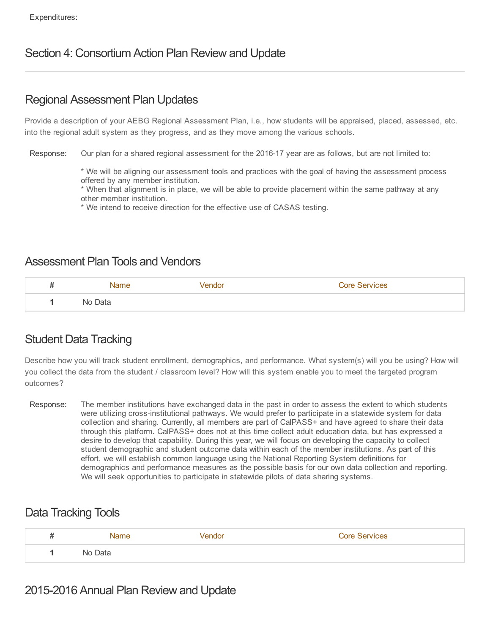### Section 4: Consortium Action Plan Review and Update

#### Regional Assessment Plan Updates

Provide a description of your AEBG Regional Assessment Plan, i.e., how students will be appraised, placed, assessed, etc. into the regional adult system as they progress, and as they move among the various schools.

Response: Our plan for a shared regional assessment for the 2016-17 year are as follows, but are not limited to:

\* We will be aligning our assessment tools and practices with the goal of having the assessment process offered by any member institution.

\* When that alignment is in place, we will be able to provide placement within the same pathway at any other member institution.

\* We intend to receive direction for the effective use of CASAS testing.

#### Assessment Plan Tools and Vendors

| # | Name    | Vendor | <b>Core Services</b> |
|---|---------|--------|----------------------|
|   | No Data |        |                      |

# Student Data Tracking

Describe how you will track student enrollment, demographics, and performance. What system(s) will you be using? How will you collect the data from the student / classroom level? How will this system enable you to meet the targeted program outcomes?

Response: The member institutions have exchanged data in the past in order to assess the extent to which students were utilizing cross-institutional pathways. We would prefer to participate in a statewide system for data collection and sharing. Currently, all members are part of CalPASS+ and have agreed to share their data through this platform. CalPASS+ does not at this time collect adult education data, but has expressed a desire to develop that capability. During this year, we will focus on developing the capacity to collect student demographic and student outcome data within each of the member institutions. As part of this effort, we will establish common language using the National Reporting System definitions for demographics and performance measures as the possible basis for our own data collection and reporting. We will seek opportunities to participate in statewide pilots of data sharing systems.

#### Data Tracking Tools

| # | Name    | √endor | Core Services |
|---|---------|--------|---------------|
|   | No Data |        |               |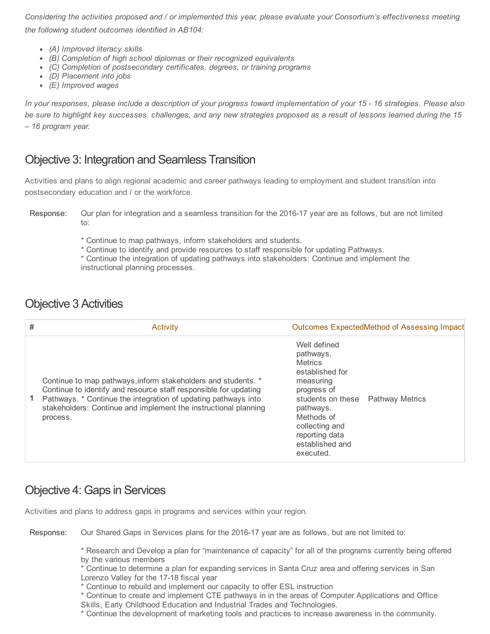Considering the activities proposed and / or implemented this year, please evaluate your Consortium's effectiveness meeting the following student outcomes identified in AB104:

- (A) Improved literacy skills
- (B) Completion of high school diplomas or their recognized equivalents
- (C) Completion of postsecondary certificates, degrees, or training programs
- (D) Placement into jobs
- (E) Improved wages

In your responses, please include a description of your progress toward implementation of your 15 16 strategies. Please also be sure to highlight key successes, challenges, and any new strategies proposed as a result of lessons learned during the 15 – 16 program year.

#### Objective 3: Integration and Seamless Transition

Activities and plans to align regional academic and career pathways leading to employment and student transition into postsecondary education and / or the workforce.

- \* Continue to map pathways, inform stakeholders and students.
- \* Continue to identify and provide resources to staff responsible for updating Pathways.
- \* Continue the integration of updating pathways into stakeholders: Continue and implement the instructional planning processes.

#### Objective 3 Activities

| # | <b>Activity</b>                                                                                                                                                                                                                                                                    | <b>Outcomes ExpectedMethod of Assessing Impact</b>                                                                                                                                                                              |
|---|------------------------------------------------------------------------------------------------------------------------------------------------------------------------------------------------------------------------------------------------------------------------------------|---------------------------------------------------------------------------------------------------------------------------------------------------------------------------------------------------------------------------------|
|   | Continue to map pathways, inform stakeholders and students. *<br>Continue to identify and resource staff responsible for updating<br>Pathways. * Continue the integration of updating pathways into<br>stakeholders: Continue and implement the instructional planning<br>process. | Well defined<br>pathways.<br><b>Metrics</b><br>established for<br>measuring<br>progress of<br>students on these  Pathway Metrics<br>pathways.<br>Methods of<br>collecting and<br>reporting data<br>established and<br>executed. |

#### Objective 4: Gaps in Services

Activities and plans to address gaps in programs and services within your region.

Response: Our Shared Gaps in Services plans for the 2016-17 year are as follows, but are not limited to:

\* Research and Develop a plan for "maintenance of capacity" for all of the programs currently being offered by the various members

\* Continue to determine a plan for expanding services in Santa Cruz area and offering services in San Lorenzo Valley for the 17-18 fiscal year

\* Continue to rebuild and implement our capacity to offer ESL instruction

\* Continue to create and implement CTE pathways in in the areas of Computer Applications and Office Skills, Early Childhood Education and Industrial Trades and Technologies.

\* Continue the development of marketing tools and practices to increase awareness in the community.

Response: Our plan for integration and a seamless transition for the 2016-17 year are as follows, but are not limited to: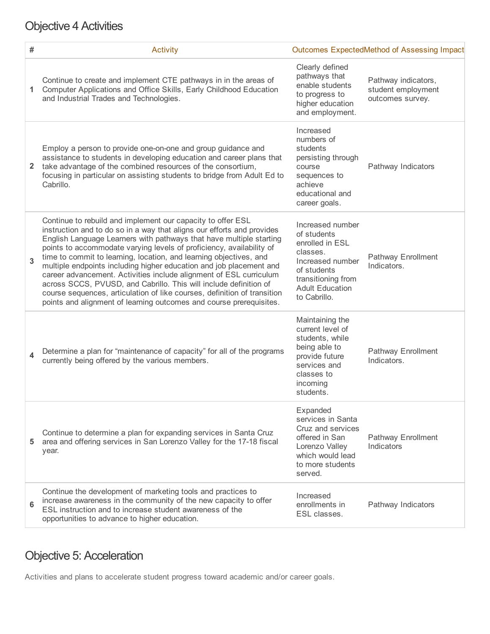# Objective 4 Activities

| #  | <b>Activity</b>                                                                                                                                                                                                                                                                                                                                                                                                                                                                                                                                                                                                                                                                                                                 | <b>Outcomes ExpectedMethod of Assessing Impact</b>                                                                                                                |                                                               |
|----|---------------------------------------------------------------------------------------------------------------------------------------------------------------------------------------------------------------------------------------------------------------------------------------------------------------------------------------------------------------------------------------------------------------------------------------------------------------------------------------------------------------------------------------------------------------------------------------------------------------------------------------------------------------------------------------------------------------------------------|-------------------------------------------------------------------------------------------------------------------------------------------------------------------|---------------------------------------------------------------|
| 1. | Continue to create and implement CTE pathways in in the areas of<br>Computer Applications and Office Skills, Early Childhood Education<br>and Industrial Trades and Technologies.                                                                                                                                                                                                                                                                                                                                                                                                                                                                                                                                               | Clearly defined<br>pathways that<br>enable students<br>to progress to<br>higher education<br>and employment.                                                      | Pathway indicators,<br>student employment<br>outcomes survey. |
| 2. | Employ a person to provide one-on-one and group guidance and<br>assistance to students in developing education and career plans that<br>take advantage of the combined resources of the consortium,<br>focusing in particular on assisting students to bridge from Adult Ed to<br>Cabrillo.                                                                                                                                                                                                                                                                                                                                                                                                                                     | Increased<br>numbers of<br>students<br>persisting through<br>course<br>sequences to<br>achieve<br>educational and<br>career goals.                                | Pathway Indicators                                            |
| 3  | Continue to rebuild and implement our capacity to offer ESL<br>instruction and to do so in a way that aligns our efforts and provides<br>English Language Learners with pathways that have multiple starting<br>points to accommodate varying levels of proficiency, availability of<br>time to commit to learning, location, and learning objectives, and<br>multiple endpoints including higher education and job placement and<br>career advancement. Activities include alignment of ESL curriculum<br>across SCCS, PVUSD, and Cabrillo. This will include definition of<br>course sequences, articulation of like courses, definition of transition<br>points and alignment of learning outcomes and course prerequisites. | Increased number<br>of students<br>enrolled in ESL<br>classes.<br>Increased number<br>of students<br>transitioning from<br><b>Adult Education</b><br>to Cabrillo. | Pathway Enrollment<br>Indicators.                             |
| 4  | Determine a plan for "maintenance of capacity" for all of the programs<br>currently being offered by the various members.                                                                                                                                                                                                                                                                                                                                                                                                                                                                                                                                                                                                       | Maintaining the<br>current level of<br>students, while<br>being able to<br>provide future<br>services and<br>classes to<br>incoming<br>students.                  | <b>Pathway Enrollment</b><br>Indicators.                      |
|    | Continue to determine a plan for expanding services in Santa Cruz<br>area and offering services in San Lorenzo Valley for the 17-18 fiscal<br>year.                                                                                                                                                                                                                                                                                                                                                                                                                                                                                                                                                                             | Expanded<br>services in Santa<br>Cruz and services<br>offered in San<br>Lorenzo Valley<br>which would lead<br>to more students<br>served.                         | Pathway Enrollment<br>Indicators                              |
| 6  | Continue the development of marketing tools and practices to<br>increase awareness in the community of the new capacity to offer<br>ESL instruction and to increase student awareness of the<br>opportunities to advance to higher education.                                                                                                                                                                                                                                                                                                                                                                                                                                                                                   | Increased<br>enrollments in<br>ESL classes.                                                                                                                       | Pathway Indicators                                            |

# Objective 5: Acceleration

Activities and plans to accelerate student progress toward academic and/or career goals.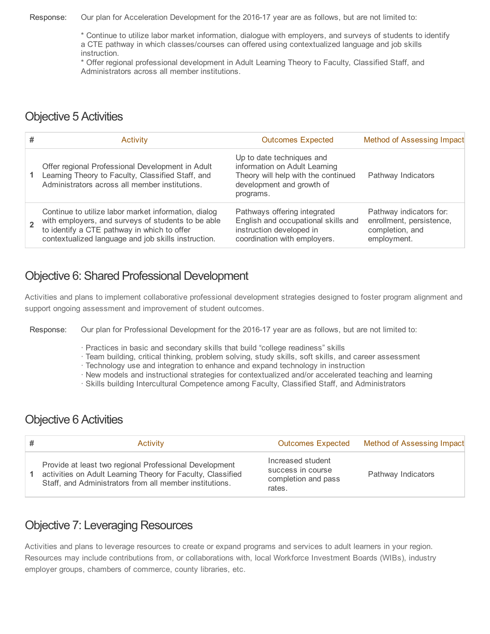Response: Our plan for Acceleration Development for the 2016-17 year are as follows, but are not limited to:

\* Continue to utilize labor market information, dialogue with employers, and surveys of students to identify a CTE pathway in which classes/courses can offered using contextualized language and job skills instruction.

\* Offer regional professional development in Adult Learning Theory to Faculty, Classified Staff, and Administrators across all member institutions.

### Objective 5 Activities

| # | <b>Activity</b>                                                                                                                                                                                                  | <b>Outcomes Expected</b>                                                                                                                    | Method of Assessing Impact                                                            |
|---|------------------------------------------------------------------------------------------------------------------------------------------------------------------------------------------------------------------|---------------------------------------------------------------------------------------------------------------------------------------------|---------------------------------------------------------------------------------------|
|   | Offer regional Professional Development in Adult<br>Learning Theory to Faculty, Classified Staff, and<br>Administrators across all member institutions.                                                          | Up to date techniques and<br>information on Adult Learning<br>Theory will help with the continued<br>development and growth of<br>programs. | Pathway Indicators                                                                    |
|   | Continue to utilize labor market information, dialog<br>with employers, and surveys of students to be able<br>to identify a CTE pathway in which to offer<br>contextualized language and job skills instruction. | Pathways offering integrated<br>English and occupational skills and<br>instruction developed in<br>coordination with employers.             | Pathway indicators for:<br>enrollment, persistence,<br>completion, and<br>employment. |

### Objective 6: Shared Professional Development

Activities and plans to implement collaborative professional development strategies designed to foster program alignment and support ongoing assessment and improvement of student outcomes.

Response: Our plan for Professional Development for the 2016-17 year are as follows, but are not limited to:

- · Practices in basic and secondary skills that build "college readiness" skills
- · Team building, critical thinking, problem solving, study skills, soft skills, and career assessment
- · Technology use and integration to enhance and expand technology in instruction
- · New models and instructional strategies for contextualized and/or accelerated teaching and learning
- · Skills building Intercultural Competence among Faculty, Classified Staff, and Administrators

#### Objective 6 Activities

| Activity                                                                                                                                                                         | <b>Outcomes Expected</b>                                                | Method of Assessing Impact |
|----------------------------------------------------------------------------------------------------------------------------------------------------------------------------------|-------------------------------------------------------------------------|----------------------------|
| Provide at least two regional Professional Development<br>activities on Adult Learning Theory for Faculty, Classified<br>Staff, and Administrators from all member institutions. | Increased student<br>success in course<br>completion and pass<br>rates. | Pathway Indicators         |

# Objective 7: Leveraging Resources

Activities and plans to leverage resources to create or expand programs and services to adult learners in your region. Resources may include contributions from, or collaborations with, local Workforce Investment Boards (WIBs), industry employer groups, chambers of commerce, county libraries, etc.